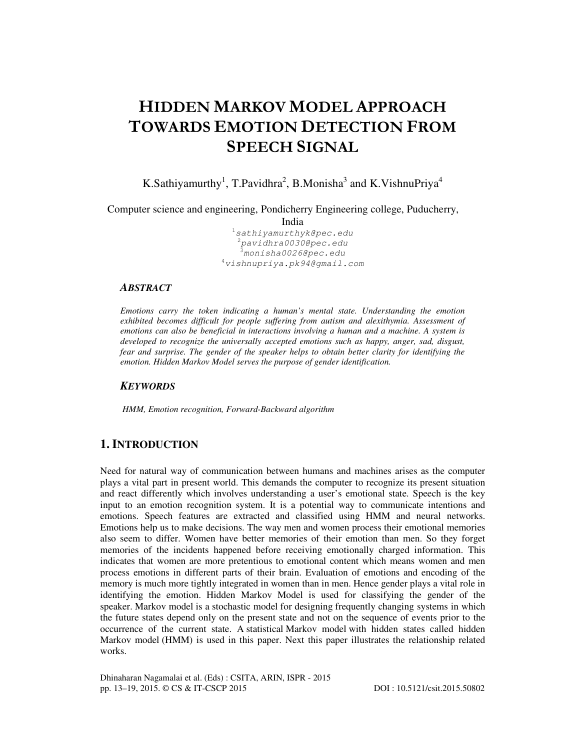# HIDDEN MARKOV MODEL APPROACH TOWARDS EMOTION DETECTION FROM SPEECH SIGNAL

K.Sathiyamurthy<sup>1</sup>, T.Pavidhra<sup>2</sup>, B.Monisha<sup>3</sup> and K.VishnuPriya<sup>4</sup>

Computer science and engineering, Pondicherry Engineering college, Puducherry,

India

<sup>1</sup>sathiyamurthyk@pec.edu  $^{2}$ pavidhra0030@pec.edu <sup>3</sup>monisha0026@pec.edu  $^{4}$ vishnupriya.pk94@gmail.com

### *ABSTRACT*

*Emotions carry the token indicating a human's mental state. Understanding the emotion exhibited becomes difficult for people suffering from autism and alexithymia. Assessment of emotions can also be beneficial in interactions involving a human and a machine. A system is developed to recognize the universally accepted emotions such as happy, anger, sad, disgust, fear and surprise. The gender of the speaker helps to obtain better clarity for identifying the emotion. Hidden Markov Model serves the purpose of gender identification.* 

### *KEYWORDS*

*HMM, Emotion recognition, Forward-Backward algorithm* 

### **1. INTRODUCTION**

Need for natural way of communication between humans and machines arises as the computer plays a vital part in present world. This demands the computer to recognize its present situation and react differently which involves understanding a user's emotional state. Speech is the key input to an emotion recognition system. It is a potential way to communicate intentions and emotions. Speech features are extracted and classified using HMM and neural networks. Emotions help us to make decisions. The way men and women process their emotional memories also seem to differ. Women have better memories of their emotion than men. So they forget memories of the incidents happened before receiving emotionally charged information. This indicates that women are more pretentious to emotional content which means women and men process emotions in different parts of their brain. Evaluation of emotions and encoding of the memory is much more tightly integrated in women than in men. Hence gender plays a vital role in identifying the emotion. Hidden Markov Model is used for classifying the gender of the speaker. Markov model is a stochastic model for designing frequently changing systems in which the future states depend only on the present state and not on the sequence of events prior to the occurrence of the current state. A statistical Markov model with hidden states called hidden Markov model (HMM) is used in this paper. Next this paper illustrates the relationship related works.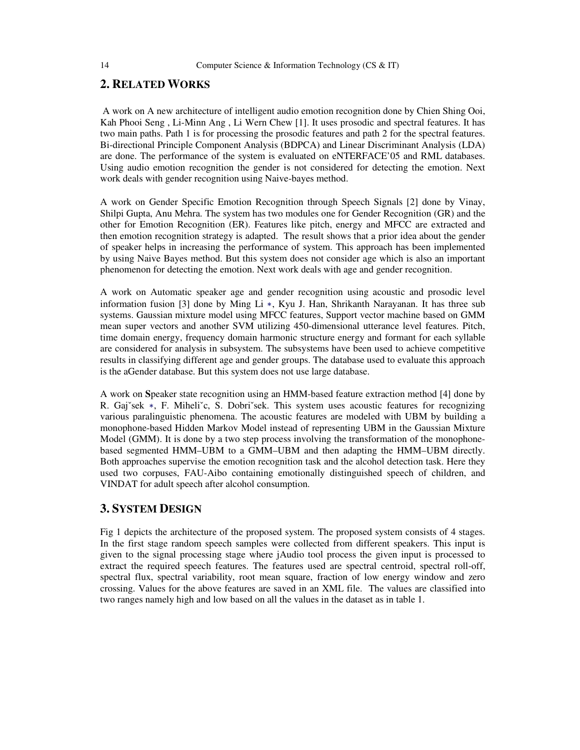### **2. RELATED WORKS**

 A work on A new architecture of intelligent audio emotion recognition done by Chien Shing Ooi, Kah Phooi Seng , Li-Minn Ang , Li Wern Chew [1]. It uses prosodic and spectral features. It has two main paths. Path 1 is for processing the prosodic features and path 2 for the spectral features. Bi-directional Principle Component Analysis (BDPCA) and Linear Discriminant Analysis (LDA) are done. The performance of the system is evaluated on eNTERFACE'05 and RML databases. Using audio emotion recognition the gender is not considered for detecting the emotion. Next work deals with gender recognition using Naive-bayes method.

A work on Gender Specific Emotion Recognition through Speech Signals [2] done by Vinay, Shilpi Gupta, Anu Mehra. The system has two modules one for Gender Recognition (GR) and the other for Emotion Recognition (ER). Features like pitch, energy and MFCC are extracted and then emotion recognition strategy is adapted. The result shows that a prior idea about the gender of speaker helps in increasing the performance of system. This approach has been implemented by using Naive Bayes method. But this system does not consider age which is also an important phenomenon for detecting the emotion. Next work deals with age and gender recognition.

A work on Automatic speaker age and gender recognition using acoustic and prosodic level information fusion [3] done by Ming Li ∗, Kyu J. Han, Shrikanth Narayanan. It has three sub systems. Gaussian mixture model using MFCC features, Support vector machine based on GMM mean super vectors and another SVM utilizing 450-dimensional utterance level features. Pitch, time domain energy, frequency domain harmonic structure energy and formant for each syllable are considered for analysis in subsystem. The subsystems have been used to achieve competitive results in classifying different age and gender groups. The database used to evaluate this approach is the aGender database. But this system does not use large database.

A work on **S**peaker state recognition using an HMM-based feature extraction method [4] done by R. Gaj<sup>∞</sup>sek \*, F. Miheli<sup>∞</sup>c, S. Dobri<sup>∞</sup>sek. This system uses acoustic features for recognizing various paralinguistic phenomena. The acoustic features are modeled with UBM by building a monophone-based Hidden Markov Model instead of representing UBM in the Gaussian Mixture Model (GMM). It is done by a two step process involving the transformation of the monophonebased segmented HMM–UBM to a GMM–UBM and then adapting the HMM–UBM directly. Both approaches supervise the emotion recognition task and the alcohol detection task. Here they used two corpuses, FAU-Aibo containing emotionally distinguished speech of children, and VINDAT for adult speech after alcohol consumption.

### **3. SYSTEM DESIGN**

Fig 1 depicts the architecture of the proposed system. The proposed system consists of 4 stages. In the first stage random speech samples were collected from different speakers. This input is given to the signal processing stage where jAudio tool process the given input is processed to extract the required speech features. The features used are spectral centroid, spectral roll-off, spectral flux, spectral variability, root mean square, fraction of low energy window and zero crossing. Values for the above features are saved in an XML file. The values are classified into two ranges namely high and low based on all the values in the dataset as in table 1.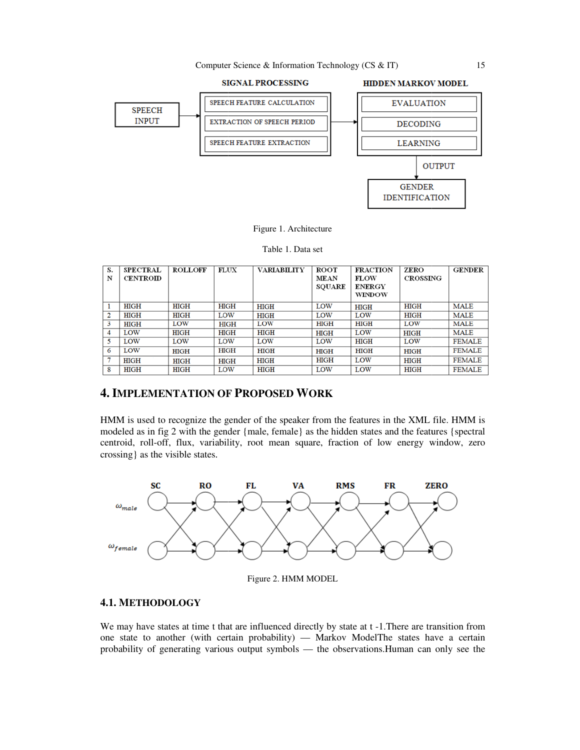Computer Science & Information Technology (CS & IT)



#### Figure 1. Architecture

Table 1. Data set

| S.<br>N | <b>SPECTRAL</b><br>CENTROID | <b>ROLLOFF</b> | FLUX        | <b>VARIABILITY</b> | <b>ROOT</b><br>MEAN | <b>FRACTION</b><br>FLOW        | ZERO<br><b>CROSSING</b> | <b>GENDER</b> |
|---------|-----------------------------|----------------|-------------|--------------------|---------------------|--------------------------------|-------------------------|---------------|
|         |                             |                |             |                    | <b>SQUARE</b>       | <b>ENERGY</b><br><b>WINDOW</b> |                         |               |
|         | <b>HIGH</b>                 | HIGH           | <b>HIGH</b> | <b>HIGH</b>        | LOW                 | <b>HIGH</b>                    | HIGH                    | MALE          |
| 2       | <b>HIGH</b>                 | <b>HIGH</b>    | LOW         | <b>HIGH</b>        | LOW                 | LOW                            | <b>HIGH</b>             | MALE          |
| 3       | <b>HIGH</b>                 | LOW            | <b>HIGH</b> | LOW                | HIGH                | HIGH                           | LOW                     | <b>MALE</b>   |
| 4       | LOW                         | <b>HIGH</b>    | <b>HIGH</b> | HIGH               | <b>HIGH</b>         | LOW                            | <b>HIGH</b>             | <b>MALE</b>   |
| 5.      | LOW                         | LOW            | LOW         | LOW                | LOW                 | HIGH                           | LOW                     | <b>FEMALE</b> |
| 6       | LOW                         | <b>HIGH</b>    | <b>HIGH</b> | <b>HIGH</b>        | <b>HIGH</b>         | <b>HIGH</b>                    | <b>HIGH</b>             | <b>FEMALE</b> |
|         | <b>HIGH</b>                 | <b>HIGH</b>    | <b>HIGH</b> | <b>HIGH</b>        | HIGH                | LOW                            | <b>HIGH</b>             | <b>FEMALE</b> |
| 8       | HIGH                        | HIGH           | LOW         | HIGH               | LOW                 | LOW                            | HIGH                    | <b>FEMALE</b> |

# **4. IMPLEMENTATION OF PROPOSED WORK**

HMM is used to recognize the gender of the speaker from the features in the XML file. HMM is modeled as in fig 2 with the gender {male, female} as the hidden states and the features {spectral centroid, roll-off, flux, variability, root mean square, fraction of low energy window, zero crossing} as the visible states.



Figure 2. HMM MODEL

### **4.1. METHODOLOGY**

We may have states at time t that are influenced directly by state at t -1. There are transition from one state to another (with certain probability) — Markov ModelThe states have a certain probability of generating various output symbols — the observations. Human can only see the

15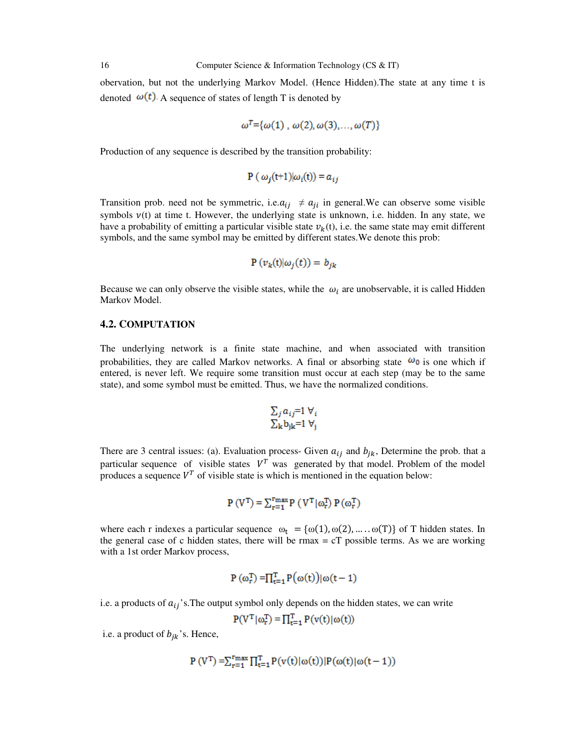obervation, but not the underlying Markov Model. (Hence Hidden).The state at any time t is denoted  $\omega(t)$ . A sequence of states of length T is denoted by

$$
\omega^T = {\omega(1), \omega(2), \omega(3), ..., \omega(T)}
$$

Production of any sequence is described by the transition probability:

$$
\mathbf{P}(\omega_i(t+1)|\omega_i(t)) = a_{ij}
$$

Transition prob. need not be symmetric, i.e.  $a_{ij} \neq a_{ji}$  in general. We can observe some visible symbols  $v(t)$  at time t. However, the underlying state is unknown, i.e. hidden. In any state, we have a probability of emitting a particular visible state  $v_k(t)$ , i.e. the same state may emit different symbols, and the same symbol may be emitted by different states.We denote this prob:

$$
P(v_k(t)|\omega_i(t)) = b_{ik}
$$

Because we can only observe the visible states, while the  $\omega_i$  are unobservable, it is called Hidden Markov Model.

### **4.2. COMPUTATION**

The underlying network is a finite state machine, and when associated with transition probabilities, they are called Markov networks. A final or absorbing state  $\omega_0$  is one which if entered, is never left. We require some transition must occur at each step (may be to the same state), and some symbol must be emitted. Thus, we have the normalized conditions.

$$
\Sigma_j a_{ij} = 1 \forall_i
$$
  

$$
\Sigma_k b_{jk} = 1 \forall_j
$$

There are 3 central issues: (a). Evaluation process- Given  $a_{ij}$  and  $b_{jk}$ , Determine the prob. that a particular sequence of visible states  $V^T$  was generated by that model. Problem of the model produces a sequence  $V^T$  of visible state is which is mentioned in the equation below:

$$
P(V^{T}) = \sum_{r=1}^{r_{\text{max}}} P(V^{T}|\omega_{r}^{T}) P(\omega_{r}^{T})
$$

where each r indexes a particular sequence  $\omega_t = {\omega(1), \omega(2), \dots, \omega(T)}$  of T hidden states. In the general case of c hidden states, there will be  $r_{\text{max}} = cT$  possible terms. As we are working with a 1st order Markov process,

$$
P(\omega_r^T) = \prod_{t=1}^T P(\omega(t))|\omega(t-1)
$$

i.e. a products of  $a_{ij}$ 's. The output symbol only depends on the hidden states, we can write

$$
P(VT|\omega_r^T) = \prod_{t=1}^{T} P(v(t)|\omega(t))
$$

i.e. a product of  $b_{ik}$ 's. Hence,

$$
P(V^{T}) = \sum_{r=1}^{r_{\text{max}}} \prod_{t=1}^{T} P(v(t)|\omega(t))|P(\omega(t)|\omega(t-1))
$$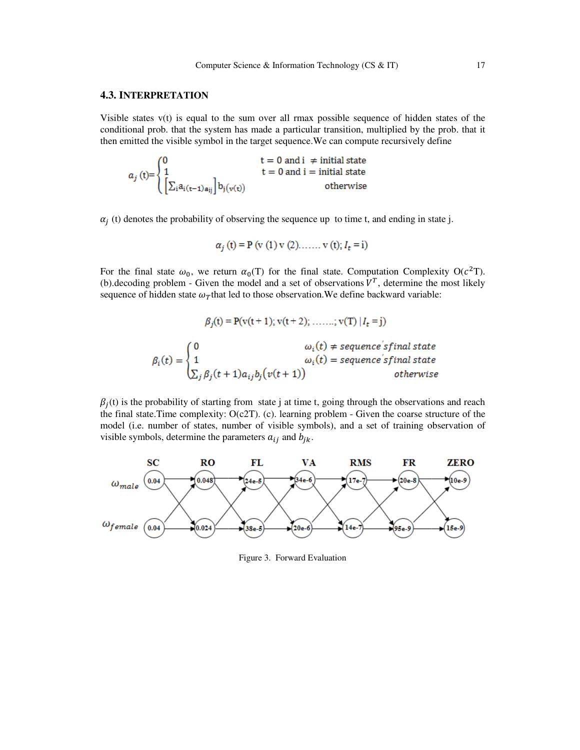#### **4.3. INTERPRETATION**

Visible states  $v(t)$  is equal to the sum over all rmax possible sequence of hidden states of the conditional prob. that the system has made a a particular transition, multiplied by the prob. that it then emitted the visible symbol in the target sequence. We can compute recursively define

$$
a_j\left(t\right) = \begin{cases} 0 & t = 0 \text{ and } i \neq \text{ initial state} \\ 1 & t = 0 \text{ and } i = \text{ initial state} \\ \left[\sum_i a_{i\left(t-1\right)a_{ij}}\right] b_j\left(\mathbf{v}(t)\right) & \text{otherwise} \end{cases}
$$

 $\alpha_j$  (t) denotes the probability of observing the sequence up to time t, and ending in state j.

$$
\alpha_j
$$
 (t) = P (v (1) v (2)...... v (t);  $I_t = i$ )

For the final state  $\omega_0$ , we return  $\alpha_0(T)$  for the final state. Computation Complexity O( $c^2T$ ). (b). decoding problem - Given the model and a set of observations  $V^T$ , determine the most likely sequence of hidden state  $\omega_T$ that led to those observation. We define backward variable:

$$
\beta_j(t) = P(v(t+1); v(t+2); \dots, v(T) | I_t = j)
$$

$$
\beta_i(t) = \begin{cases} 0 & \omega_i(t) \neq sequence's final\ state \\ 1 & \omega_i(t) = sequence's final\ state \\ \sum_j \beta_j(t+1)a_{ij}b_j(v(t+1)) & otherwise \end{cases}
$$

 $\beta_j(t)$  is the probability of starting from state j at time t, going through the observations and reach the final state. Time complexity:  $O(c2T)$ . (c). learning problem - Given the coarse structure of the model (i.e. number of states, number of visible symbols), and a set of training observation of visible symbols, determine the parameters  $a_{ij}$  and  $b_{jk}$ .



Figure 3. Forward Evaluation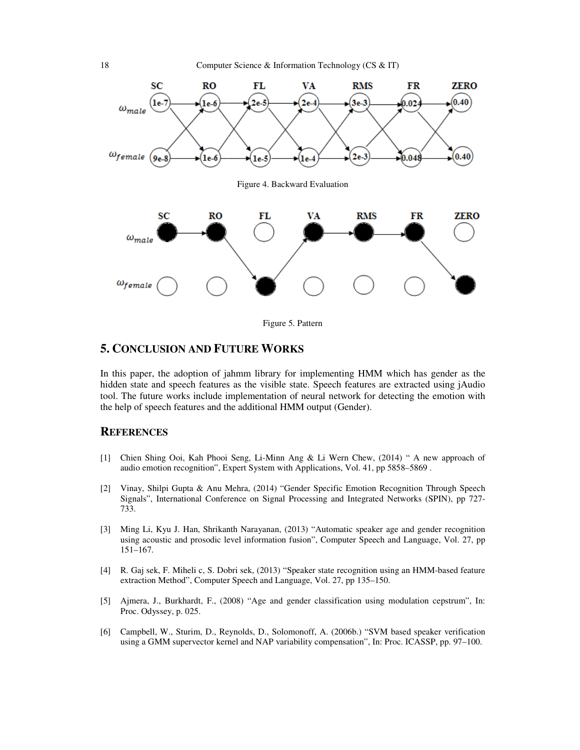

Figure 5. Pattern

## **5. CONCLUSION AND FUTURE WORKS**

In this paper, the adoption of jahmm library for implementing HMM which has gender as the hidden state and speech features as the visible state. Speech features are extracted using *jAudio* hidden state and speech features as the visible state. Speech features are extracted using jAudio tool. The future works include implementation of neural network for detecting the emotion with the help of speech features and the additional HMM output (Gender). and speech features as the visible state. Speech features are extracted using jAudio<br>
ure works include implementation of neural network for detecting the emotion with<br>
eech features and the additional HMM output (Gender).

### **REFERENCES**

- [1] Chien Shing Ooi, Kah Phooi Seng, Li Li-Minn Ang & Li Wern Chew, (2014) " A new approach of audio emotion recognition", Expert System with Applications, Vol. 41, pp 5858–5869. A new approach of<br>5869 .<br>tion Through Speech<br>prks (SPIN), pp 727-
- [2] Vinay, Shilpi Gupta & Anu Mehra, (2014) "Gender Specific Emotion Recognition Through Speech Vinay, Shilpi Gupta & Anu Mehra, (2014) "Gender Specific Emotion Recognition Through Speech Signals", International Conference on Signal Processing and Integrated Networks (SPIN), pp 727-733.
- [3] Ming Li, Kyu J. Han, Shrikanth Narayanan, (2013) "Automatic speaker age and gender recognition using acoustic and prosodic level information fusion", Computer Speech and Language, Vol. 27, pp 151–167. Li, Kyu J. Han, Shrikanth Narayanan, (2013) "Automatic speaker age and gender recognition acoustic and prosodic level information fusion", Computer Speech and Language, Vol. 27, pp 67.<br>j sek, F. Miheli c, S. Dobri sek, (20
- [4] R. Gaj sek, F. Miheli c, S. Dobri sek, (2013) "Speaker state recognition using an HMM extraction Method", Computer Speech and Language, Vol. 27, pp 135–150.
- [5] Ajmera, J., Burkhardt, F., (2008) "Age and gender classification using modulation cepstrum", In: Proc. Odyssey, p. 025.
- [6] Campbell, W., Sturim, D., Reynolds, D., Solomonoff, A. (2006b.) "SVM based speaker verification using a GMM supervector kernel and NAP variability compensation", In: Proc. ICASSP, pp. 97 97–100.